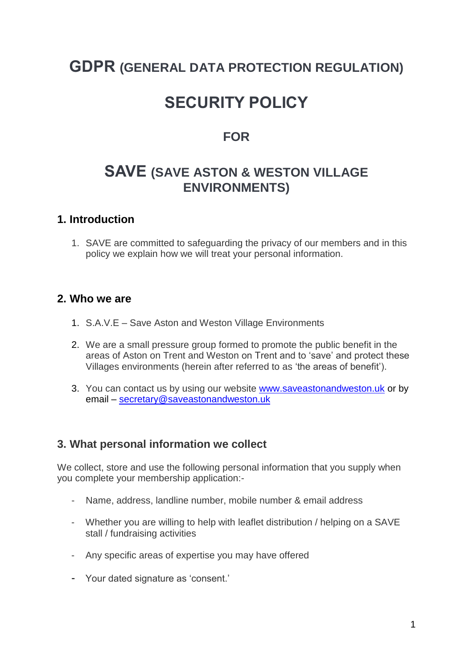## **GDPR (GENERAL DATA PROTECTION REGULATION)**

# **SECURITY POLICY**

### **FOR**

## **SAVE (SAVE ASTON & WESTON VILLAGE ENVIRONMENTS)**

#### **1. Introduction**

1. SAVE are committed to safeguarding the privacy of our members and in this policy we explain how we will treat your personal information.

#### **2. Who we are**

- 1. S.A.V.E Save Aston and Weston Village Environments
- 2. We are a small pressure group formed to promote the public benefit in the areas of Aston on Trent and Weston on Trent and to 'save' and protect these Villages environments (herein after referred to as 'the areas of benefit').
- 3. You can contact us by using our website [www.saveastonandweston.uk](http://www.saveastonandweston.uk/) or by email – [secretary@saveastonandweston.uk](mailto:secretary@saveastonandweston.uk)

#### **3. What personal information we collect**

We collect, store and use the following personal information that you supply when you complete your membership application:-

- Name, address, landline number, mobile number & email address
- Whether you are willing to help with leaflet distribution / helping on a SAVE stall / fundraising activities
- Any specific areas of expertise you may have offered
- Your dated signature as 'consent.'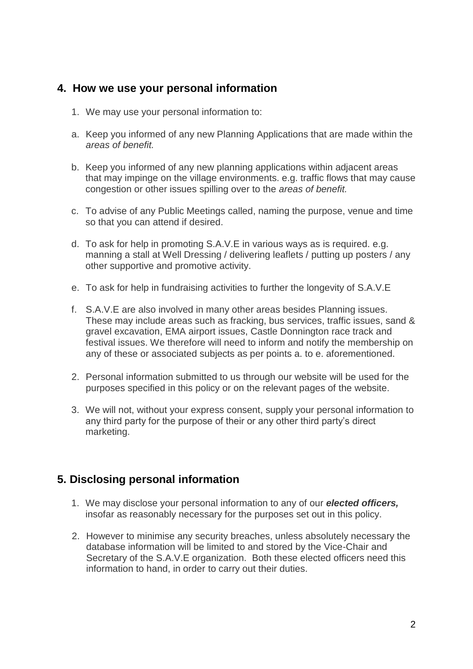#### **4. How we use your personal information**

- 1. We may use your personal information to:
- a. Keep you informed of any new Planning Applications that are made within the *areas of benefit.*
- b. Keep you informed of any new planning applications within adjacent areas that may impinge on the village environments. e.g. traffic flows that may cause congestion or other issues spilling over to the *areas of benefit.*
- c. To advise of any Public Meetings called, naming the purpose, venue and time so that you can attend if desired.
- d. To ask for help in promoting S.A.V.E in various ways as is required. e.g. manning a stall at Well Dressing / delivering leaflets / putting up posters / any other supportive and promotive activity.
- e. To ask for help in fundraising activities to further the longevity of S.A.V.E
- f. S.A.V.E are also involved in many other areas besides Planning issues. These may include areas such as fracking, bus services, traffic issues, sand & gravel excavation, EMA airport issues, Castle Donnington race track and festival issues. We therefore will need to inform and notify the membership on any of these or associated subjects as per points a. to e. aforementioned.
- 2. Personal information submitted to us through our website will be used for the purposes specified in this policy or on the relevant pages of the website.
- 3. We will not, without your express consent, supply your personal information to any third party for the purpose of their or any other third party's direct marketing.

#### **5. Disclosing personal information**

- 1. We may disclose your personal information to any of our *elected officers,* insofar as reasonably necessary for the purposes set out in this policy.
- 2. However to minimise any security breaches, unless absolutely necessary the database information will be limited to and stored by the Vice-Chair and Secretary of the S.A.V.E organization. Both these elected officers need this information to hand, in order to carry out their duties.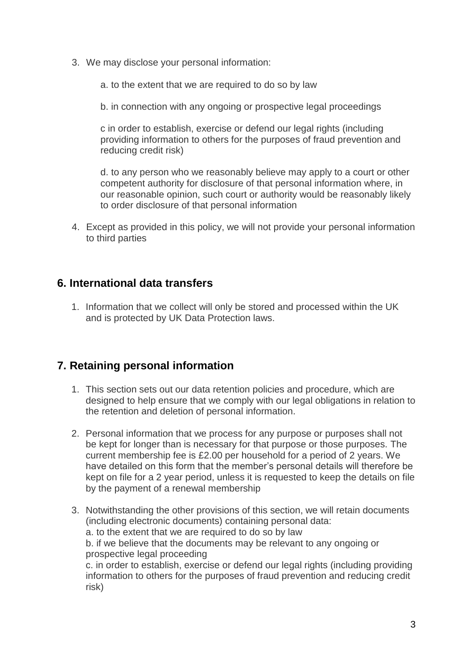- 3. We may disclose your personal information:
	- a. to the extent that we are required to do so by law
	- b. in connection with any ongoing or prospective legal proceedings

c in order to establish, exercise or defend our legal rights (including providing information to others for the purposes of fraud prevention and reducing credit risk)

d. to any person who we reasonably believe may apply to a court or other competent authority for disclosure of that personal information where, in our reasonable opinion, such court or authority would be reasonably likely to order disclosure of that personal information

4. Except as provided in this policy, we will not provide your personal information to third parties

#### **6. International data transfers**

1. Information that we collect will only be stored and processed within the UK and is protected by UK Data Protection laws.

#### **7. Retaining personal information**

- 1. This section sets out our data retention policies and procedure, which are designed to help ensure that we comply with our legal obligations in relation to the retention and deletion of personal information.
- 2. Personal information that we process for any purpose or purposes shall not be kept for longer than is necessary for that purpose or those purposes. The current membership fee is £2.00 per household for a period of 2 years. We have detailed on this form that the member's personal details will therefore be kept on file for a 2 year period, unless it is requested to keep the details on file by the payment of a renewal membership
- 3. Notwithstanding the other provisions of this section, we will retain documents (including electronic documents) containing personal data: a. to the extent that we are required to do so by law b. if we believe that the documents may be relevant to any ongoing or prospective legal proceeding c. in order to establish, exercise or defend our legal rights (including providing information to others for the purposes of fraud prevention and reducing credit risk)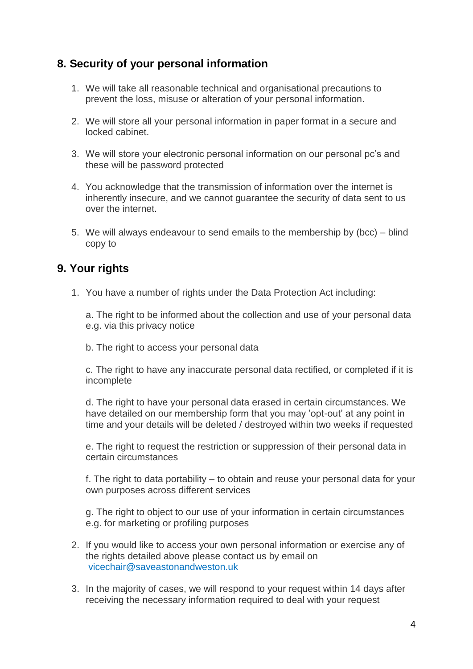#### **8. Security of your personal information**

- 1. We will take all reasonable technical and organisational precautions to prevent the loss, misuse or alteration of your personal information.
- 2. We will store all your personal information in paper format in a secure and locked cabinet.
- 3. We will store your electronic personal information on our personal pc's and these will be password protected
- 4. You acknowledge that the transmission of information over the internet is inherently insecure, and we cannot guarantee the security of data sent to us over the internet.
- 5. We will always endeavour to send emails to the membership by (bcc) blind copy to

#### **9. Your rights**

1. You have a number of rights under the Data Protection Act including:

a. The right to be informed about the collection and use of your personal data e.g. via this privacy notice

b. The right to access your personal data

c. The right to have any inaccurate personal data rectified, or completed if it is incomplete

d. The right to have your personal data erased in certain circumstances. We have detailed on our membership form that you may 'opt-out' at any point in time and your details will be deleted / destroyed within two weeks if requested

e. The right to request the restriction or suppression of their personal data in certain circumstances

f. The right to data portability – to obtain and reuse your personal data for your own purposes across different services

g. The right to object to our use of your information in certain circumstances e.g. for marketing or profiling purposes

- 2. If you would like to access your own personal information or exercise any of the rights detailed above please contact us by email on vicechair@saveastonandweston.uk
- 3. In the majority of cases, we will respond to your request within 14 days after receiving the necessary information required to deal with your request